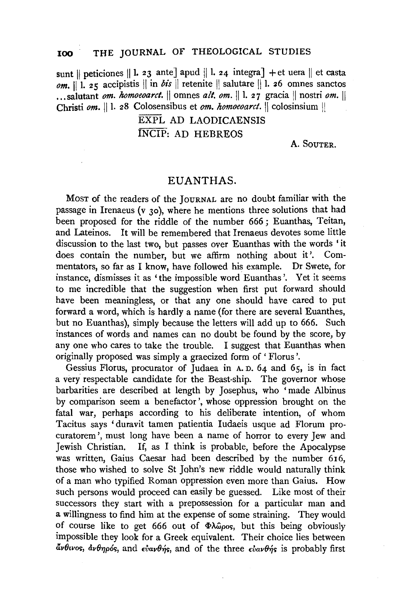## **100 THE** JOURNAL OF THEOLOGICAL STUDIES

sunt || peticiones || 1. 23 ante] apud || 1. 24 integra] + et uera || et casta  $\rho$ *m.*  $\begin{bmatrix} 1 \\ 1 \end{bmatrix}$  25 accipistis  $\begin{bmatrix} 1 \\ 1 \end{bmatrix}$  in *bis*  $\begin{bmatrix} 1 \\ 1 \end{bmatrix}$  retenite  $\begin{bmatrix} 1 \\ 1 \end{bmatrix}$  salutare  $\begin{bmatrix} 1 \\ 1 \end{bmatrix}$ . 26 omnes sanctos ... salutant *om. homoeoarct.* || omnes *alt. om.* || 1. 27 gracia || nostri *om.* || Christi *om.* || 1. 28 Colosensibus et *om. homoeoarct*. || colosinsium ||

> EXPL AD LAODICAENSIS INCIP: AD HEBREOS

> > A. SOUTER.

## EUANTHAS.

MosT of the readers of the JouRNAL are no doubt familiar with the passage in Irenaeus (v 30), where he mentions three solutions that had been proposed for the riddle of the number 666 ; Euanthas, Teitan, and Lateinos. It will be remembered that Irenaeus devotes some little discussion to the last two, but passes over Euanthas with the words 'it does contain the number, but we affirm nothing about it'. Commentators, so far as I know, have followed his example. Dr Swete, for instance, dismisses it as 'the impossible word Euanthas '. Yet it seems to me incredible that the suggestion when first put forward should have been meaningless, or that any one should have cared to put forward a word, which is hardly a name (for there are several Euanthes, but no Euanthas), simply because the letters will add up to 666. Such instances of words and names can no doubt be found by the score, by any one who cares to take the trouble. I suggest that Euanthas when originally proposed was simply a graecized form of' Florus '.

Gessius Florus, procurator of Judaea in A. n. 64 and 65, is in fact a very respectable candidate for the Beast-ship. The governor whose barbarities are described at length by Josephus, who 'made Albinus by comparison seem a benefactor', whose oppression brought on the fatal war, perhaps according to his deliberate intention, of whom Tacitus says 'duravit tamen patientia Iudaeis usque ad Florum procuratorem ', must long have been a name of horror to every Jew and Jewish Christian. If, as I think is probable, before the Apocalypse was written, Gaius Caesar had been described by the number 616, those who wished to solve St John's new riddle would naturally think of a man who typified Roman oppression even more than Gaius. How such persons would proceed can easily be guessed. Like most of their successors they start with a prepossession for a particular man and a willingness to find him at the expense of some straining. They would of course like to get 666 out of  $\Phi\lambda\omega$  os, but this being obviously impossible they look for a Greek equivalent. Their choice lies between  $\tilde{a}$ *v* $\theta$ *wos,*  $\tilde{a}$ *v* $\theta$ *ηρός, and*  $\epsilon$ *ν* $\tilde{a}$  *and of the three*  $\epsilon$ *ν* $\tilde{a}$ *<i>v* $\theta$ *ής* is probably first